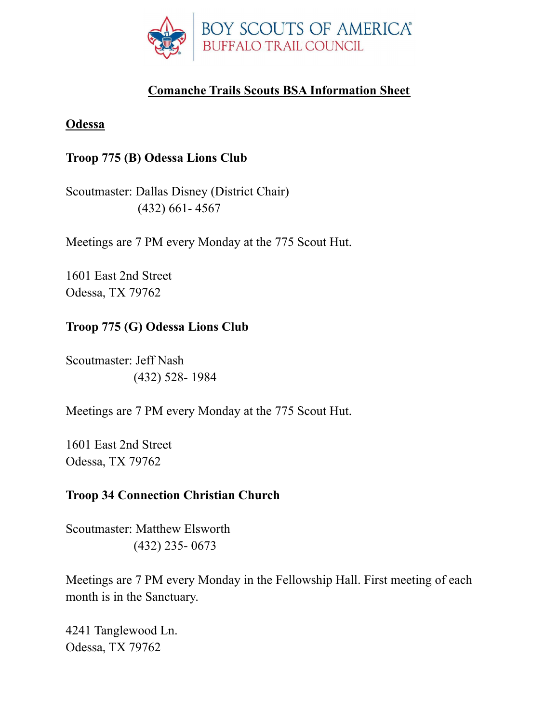

# **Comanche Trails Scouts BSA Information Sheet**

#### **Odessa**

### **Troop 775 (B) Odessa Lions Club**

Scoutmaster: Dallas Disney (District Chair) (432) 661- 4567

Meetings are 7 PM every Monday at the 775 Scout Hut.

1601 East 2nd Street Odessa, TX 79762

### **Troop 775 (G) Odessa Lions Club**

Scoutmaster: Jeff Nash (432) 528- 1984

Meetings are 7 PM every Monday at the 775 Scout Hut.

1601 East 2nd Street Odessa, TX 79762

### **Troop 34 Connection Christian Church**

Scoutmaster: Matthew Elsworth (432) 235- 0673

Meetings are 7 PM every Monday in the Fellowship Hall. First meeting of each month is in the Sanctuary.

4241 Tanglewood Ln. Odessa, TX 79762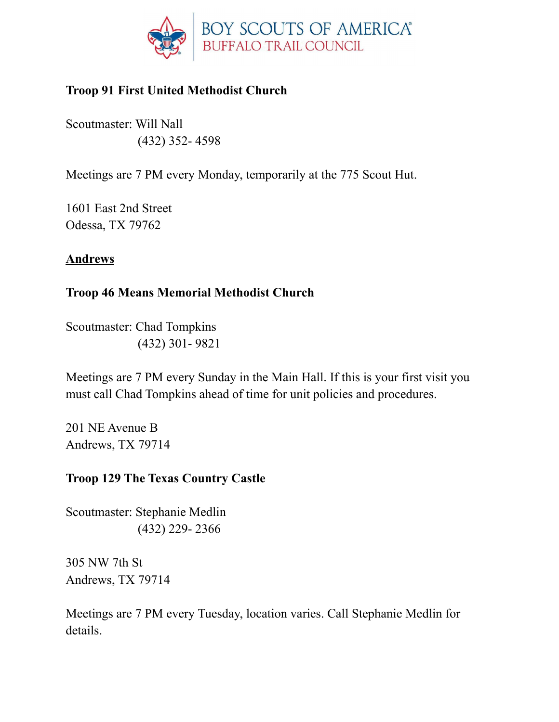

# **Troop 91 First United Methodist Church**

Scoutmaster: Will Nall (432) 352- 4598

Meetings are 7 PM every Monday, temporarily at the 775 Scout Hut.

1601 East 2nd Street Odessa, TX 79762

### **Andrews**

### **Troop 46 Means Memorial Methodist Church**

Scoutmaster: Chad Tompkins (432) 301- 9821

Meetings are 7 PM every Sunday in the Main Hall. If this is your first visit you must call Chad Tompkins ahead of time for unit policies and procedures.

201 NE Avenue B Andrews, TX 79714

# **Troop 129 The Texas Country Castle**

Scoutmaster: Stephanie Medlin (432) 229- 2366

305 NW 7th St Andrews, TX 79714

Meetings are 7 PM every Tuesday, location varies. Call Stephanie Medlin for details.